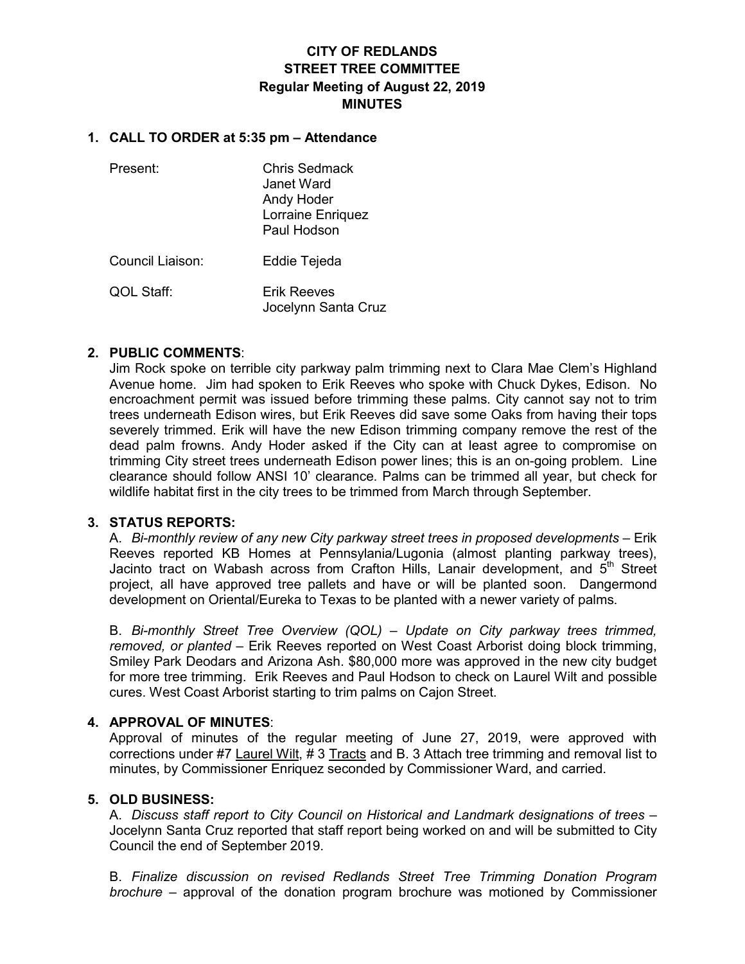# **CITY OF REDLANDS STREET TREE COMMITTEE Regular Meeting of August 22, 2019 MINUTES**

# **1. CALL TO ORDER at 5:35 pm – Attendance**

| Present:         | Chris Sedmack<br>Janet Ward<br>Andy Hoder<br>Lorraine Enriquez<br>Paul Hodson |
|------------------|-------------------------------------------------------------------------------|
| Council Liaison: | Eddie Tejeda                                                                  |
| QOL Staff:       | <b>Erik Reeves</b><br>Jocelynn Santa Cruz                                     |

# **2. PUBLIC COMMENTS**:

Jim Rock spoke on terrible city parkway palm trimming next to Clara Mae Clem's Highland Avenue home. Jim had spoken to Erik Reeves who spoke with Chuck Dykes, Edison. No encroachment permit was issued before trimming these palms. City cannot say not to trim trees underneath Edison wires, but Erik Reeves did save some Oaks from having their tops severely trimmed. Erik will have the new Edison trimming company remove the rest of the dead palm frowns. Andy Hoder asked if the City can at least agree to compromise on trimming City street trees underneath Edison power lines; this is an on-going problem. Line clearance should follow ANSI 10' clearance. Palms can be trimmed all year, but check for wildlife habitat first in the city trees to be trimmed from March through September.

# **3. STATUS REPORTS:**

A. *Bi-monthly review of any new City parkway street trees in proposed developments* – Erik Reeves reported KB Homes at Pennsylania/Lugonia (almost planting parkway trees), Jacinto tract on Wabash across from Crafton Hills, Lanair development, and  $5<sup>th</sup>$  Street project, all have approved tree pallets and have or will be planted soon. Dangermond development on Oriental/Eureka to Texas to be planted with a newer variety of palms.

B. *Bi-monthly Street Tree Overview (QOL) – Update on City parkway trees trimmed, removed, or planted* – Erik Reeves reported on West Coast Arborist doing block trimming, Smiley Park Deodars and Arizona Ash. \$80,000 more was approved in the new city budget for more tree trimming. Erik Reeves and Paul Hodson to check on Laurel Wilt and possible cures. West Coast Arborist starting to trim palms on Cajon Street.

#### **4. APPROVAL OF MINUTES**:

Approval of minutes of the regular meeting of June 27, 2019, were approved with corrections under #7 Laurel Wilt, # 3 Tracts and B. 3 Attach tree trimming and removal list to minutes, by Commissioner Enriquez seconded by Commissioner Ward, and carried.

#### **5. OLD BUSINESS:**

A. *Discuss staff report to City Council on Historical and Landmark designations of trees –* Jocelynn Santa Cruz reported that staff report being worked on and will be submitted to City Council the end of September 2019.

B. *Finalize discussion on revised Redlands Street Tree Trimming Donation Program brochure –* approval of the donation program brochure was motioned by Commissioner